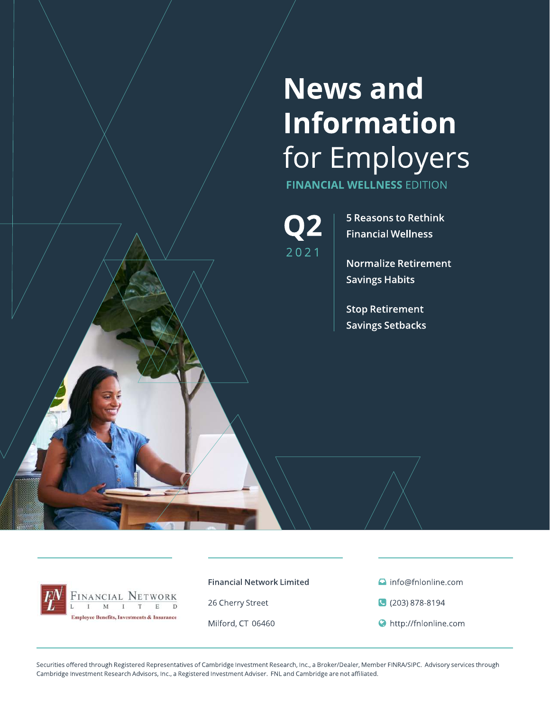# **News and** Information for Employers

**FINANCIAL WELLNESS EDITION** 

 $2021$ 

**5 Reasons to Rethink Financial Wellness** 

**Normalize Retirement Savings Habits** 

**Stop Retirement Savings Setbacks** 



**Financial Network Limited** 

26 Cherry Street

Milford, CT 06460

nfo@fnlonline.com

C (203) 878-8194

http://fnlonline.com

Securities offered through Registered Representatives of Cambridge Investment Research, Inc., a Broker/Dealer, Member FINRA/SIPC. Advisory services through Cambridge Investment Research Advisors, Inc., a Registered Investment Adviser. FNL and Cambridge are not affiliated.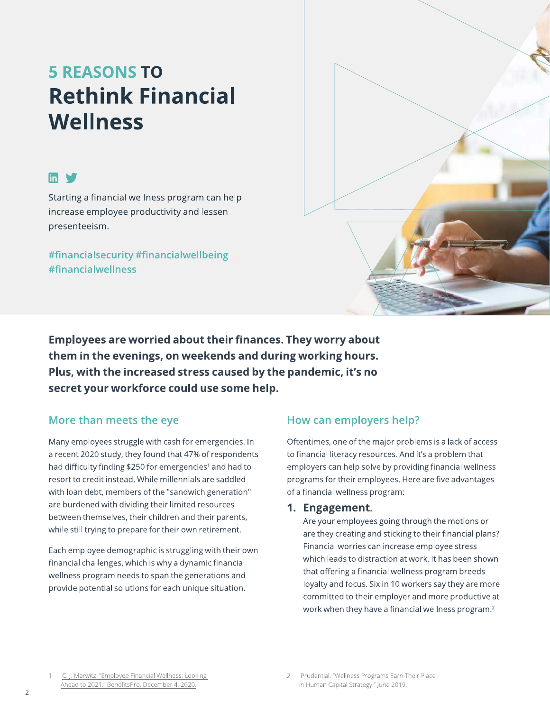# **5 REASONS TO Rethink Financial Wellness**

#### $\mathbf{m}$   $\mathbf{v}$

Starting a financial wellness program can help increase employee productivity and lessen presenteeism.

#financialsecurity #financialwellbeing #financialwellness



**Employees are worried about their finances. They worry about** them in the evenings, on weekends and during working hours. Plus, with the increased stress caused by the pandemic, it's no secret your workforce could use some help.

#### More than meets the eye

Many employees struggle with cash for emergencies. In a recent 2020 study, they found that 47% of respondents had difficulty finding \$250 for emergencies<sup>1</sup> and had to resort to credit instead. While millennials are saddled with loan debt, members of the "sandwich generation" are burdened with dividing their limited resources between themselves, their children and their parents, while still trying to prepare for their own retirement.

Each employee demographic is struggling with their own financial challenges, which is why a dynamic financial wellness program needs to span the generations and provide potential solutions for each unique situation.

#### How can employers help?

Oftentimes, one of the major problems is a lack of access to financial literacy resources. And it's a problem that employers can help solve by providing financial wellness programs for their employees. Here are five advantages of a financial wellness program:

#### 1. Engagement.

Are your employees going through the motions or are they creating and sticking to their financial plans? Financial worries can increase employee stress which leads to distraction at work. It has been shown that offering a financial wellness program breeds loyalty and focus. Six in 10 workers say they are more committed to their employer and more productive at work when they have a financial wellness program.<sup>2</sup>

C. J. Marwitz. "Employee Financial Wellness: Looking Ahead to 2021." BenefitsPro. December 4, 2020.

Prudential. "Wellness Programs Earn Their Place in Human Capital Strategy." June 2019.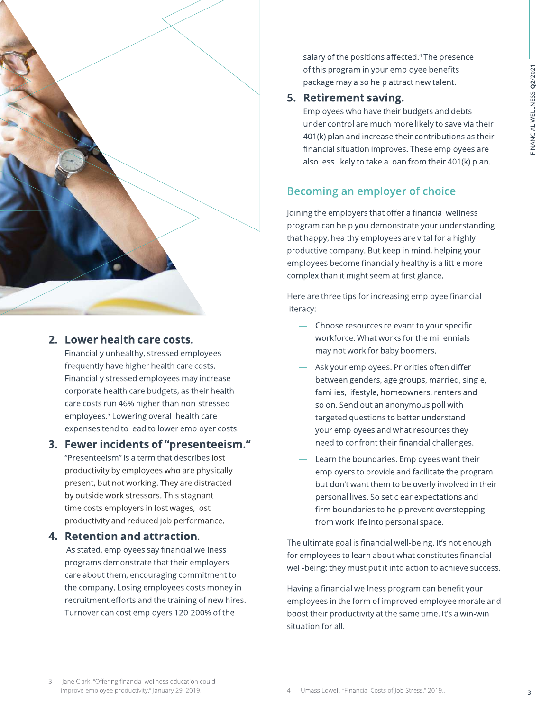

#### 2. Lower health care costs.

Financially unhealthy, stressed employees frequently have higher health care costs. Financially stressed employees may increase corporate health care budgets, as their health care costs run 46% higher than non-stressed employees.<sup>3</sup> Lowering overall health care expenses tend to lead to lower employer costs.

#### 3. Fewer incidents of "presenteeism."

"Presenteeism" is a term that describes lost productivity by employees who are physically present, but not working. They are distracted by outside work stressors. This stagnant time costs employers in lost wages, lost productivity and reduced job performance.

#### 4. Retention and attraction.

As stated, employees say financial wellness programs demonstrate that their employers care about them, encouraging commitment to the company. Losing employees costs money in recruitment efforts and the training of new hires. Turnover can cost employers 120-200% of the

salary of the positions affected.<sup>4</sup> The presence of this program in your employee benefits package may also help attract new talent.

#### 5. Retirement saving.

Employees who have their budgets and debts under control are much more likely to save via their 401(k) plan and increase their contributions as their financial situation improves. These employees are also less likely to take a loan from their 401(k) plan.

#### **Becoming an employer of choice**

Joining the employers that offer a financial wellness program can help you demonstrate your understanding that happy, healthy employees are vital for a highly productive company. But keep in mind, helping your employees become financially healthy is a little more complex than it might seem at first glance.

Here are three tips for increasing employee financial literacy:

- Choose resources relevant to your specific workforce. What works for the millennials may not work for baby boomers.
- Ask your employees. Priorities often differ between genders, age groups, married, single, families, lifestyle, homeowners, renters and so on. Send out an anonymous poll with targeted questions to better understand your employees and what resources they need to confront their financial challenges.
- Learn the boundaries. Employees want their employers to provide and facilitate the program but don't want them to be overly involved in their personal lives. So set clear expectations and firm boundaries to help prevent overstepping from work life into personal space.

The ultimate goal is financial well-being. It's not enough for employees to learn about what constitutes financial well-being; they must put it into action to achieve success.

Having a financial wellness program can benefit your employees in the form of improved employee morale and boost their productivity at the same time. It's a win-win situation for all.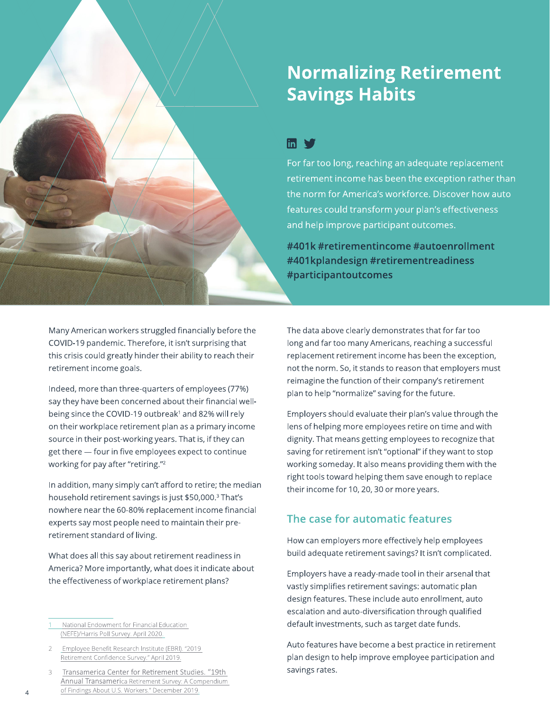# **Normalizing Retirement Savings Habits**

#### $\ln$   $\sqrt{ }$

For far too long, reaching an adequate replacement retirement income has been the exception rather than the norm for America's workforce. Discover how auto features could transform your plan's effectiveness and help improve participant outcomes.

#401k #retirementincome #autoenrollment #401kplandesign #retirementreadiness #participantoutcomes

Many American workers struggled financially before the COVID-19 pandemic. Therefore, it isn't surprising that this crisis could greatly hinder their ability to reach their retirement income goals.

Indeed, more than three-quarters of employees (77%) say they have been concerned about their financial wellbeing since the COVID-19 outbreak<sup>1</sup> and 82% will rely on their workplace retirement plan as a primary income source in their post-working years. That is, if they can get there - four in five employees expect to continue working for pay after "retiring."<sup>2</sup>

In addition, many simply can't afford to retire; the median household retirement savings is just \$50,000.<sup>3</sup> That's nowhere near the 60-80% replacement income financial experts say most people need to maintain their preretirement standard of living.

What does all this say about retirement readiness in America? More importantly, what does it indicate about the effectiveness of workplace retirement plans?

- National Endowment for Financial Education (NEFE)/Harris Poll Survey. April 2020.
- Employee Benefit Research Institute (EBRI). "2019 Retirement Confidence Survey." April 2019.
- Transamerica Center for Retirement Studies. "19th  $\mathcal{R}$ Annual Transamerica Retirement Survey: A Compendium of Findings About U.S. Workers." December 2019

The data above clearly demonstrates that for far too long and far too many Americans, reaching a successful replacement retirement income has been the exception, not the norm. So, it stands to reason that employers must reimagine the function of their company's retirement plan to help "normalize" saving for the future.

Employers should evaluate their plan's value through the lens of helping more employees retire on time and with dignity. That means getting employees to recognize that saving for retirement isn't "optional" if they want to stop working someday. It also means providing them with the right tools toward helping them save enough to replace their income for 10, 20, 30 or more years.

#### The case for automatic features

How can employers more effectively help employees build adequate retirement savings? It isn't complicated.

Employers have a ready-made tool in their arsenal that vastly simplifies retirement savings: automatic plan design features. These include auto enrollment, auto escalation and auto-diversification through qualified default investments, such as target date funds.

Auto features have become a best practice in retirement plan design to help improve employee participation and savings rates.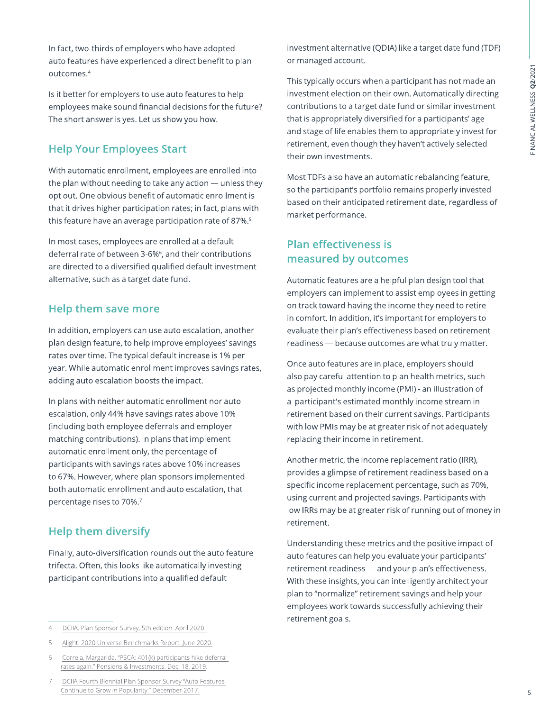In fact, two-thirds of employers who have adopted auto features have experienced a direct benefit to plan outcomes.<sup>4</sup>

Is it better for employers to use auto features to help employees make sound financial decisions for the future? The short answer is yes. Let us show you how.

#### **Help Your Employees Start**

With automatic enrollment, employees are enrolled into the plan without needing to take any action - unless they opt out. One obvious benefit of automatic enrollment is that it drives higher participation rates; in fact, plans with this feature have an average participation rate of 87%.<sup>5</sup>

In most cases, employees are enrolled at a default deferral rate of between 3-6%<sup>6</sup>, and their contributions are directed to a diversified qualified default investment alternative, such as a target date fund.

#### Help them save more

In addition, employers can use auto escalation, another plan design feature, to help improve employees' savings rates over time. The typical default increase is 1% per year. While automatic enrollment improves savings rates, adding auto escalation boosts the impact.

In plans with neither automatic enrollment nor auto escalation, only 44% have savings rates above 10% (including both employee deferrals and employer matching contributions). In plans that implement automatic enrollment only, the percentage of participants with savings rates above 10% increases to 67%. However, where plan sponsors implemented both automatic enrollment and auto escalation, that percentage rises to 70%.7

#### **Help them diversify**

Finally, auto-diversification rounds out the auto feature trifecta. Often, this looks like automatically investing participant contributions into a qualified default

 $\overline{5}$ Alight. 2020 Universe Benchmarks Report. June 2020. investment alternative (QDIA) like a target date fund (TDF) or managed account.

This typically occurs when a participant has not made an investment election on their own. Automatically directing contributions to a target date fund or similar investment that is appropriately diversified for a participants' age and stage of life enables them to appropriately invest for retirement, even though they haven't actively selected their own investments.

Most TDFs also have an automatic rebalancing feature, so the participant's portfolio remains properly invested based on their anticipated retirement date, regardless of market performance.

#### **Plan effectiveness is** measured by outcomes

Automatic features are a helpful plan design tool that employers can implement to assist employees in getting on track toward having the income they need to retire in comfort. In addition, it's important for employers to evaluate their plan's effectiveness based on retirement readiness - because outcomes are what truly matter.

Once auto features are in place, employers should also pay careful attention to plan health metrics, such as projected monthly income (PMI) - an illustration of a participant's estimated monthly income stream in retirement based on their current savings. Participants with low PMIs may be at greater risk of not adequately replacing their income in retirement.

Another metric, the income replacement ratio (IRR), provides a glimpse of retirement readiness based on a specific income replacement percentage, such as 70%, using current and projected savings. Participants with low IRRs may be at greater risk of running out of money in retirement.

Understanding these metrics and the positive impact of auto features can help you evaluate your participants' retirement readiness - and your plan's effectiveness. With these insights, you can intelligently architect your plan to "normalize" retirement savings and help your employees work towards successfully achieving their retirement goals.

DCIIA. Plan Sponsor Survey, 5th edition. April 2020.  $\overline{4}$ 

Correia, Margarida. "PSCA: 401(k) participants hike deferral 6 rates again." Pensions & Investments. Dec. 18, 2019.

DCIIA Fourth Biennial Plan Sponsor Survey "Auto Features Continue to Grow in Popularity." December 2017.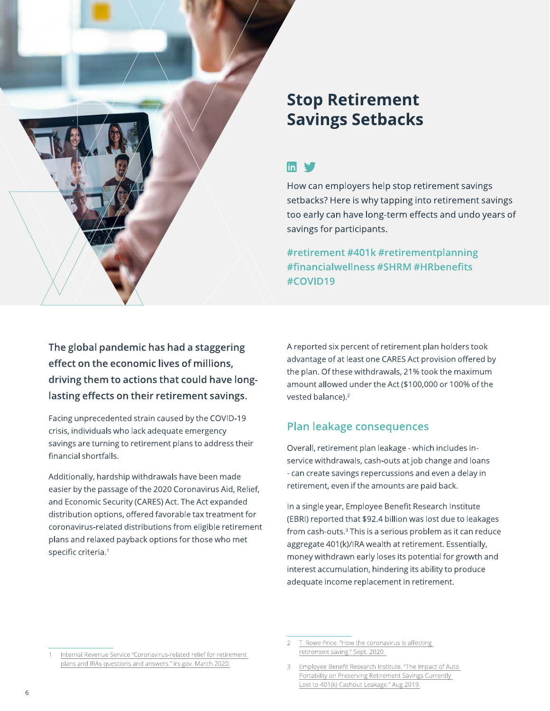

## **Stop Retirement Savings Setbacks**

### $\mathsf{m} \blacktriangleright$

How can employers help stop retirement savings setbacks? Here is why tapping into retirement savings too early can have long-term effects and undo years of savings for participants.

#retirement #401k #retirementplanning #financialwellness #SHRM #HRbenefits #COVID19

The global pandemic has had a staggering effect on the economic lives of millions, driving them to actions that could have longlasting effects on their retirement savings.

Facing unprecedented strain caused by the COVID-19 crisis, individuals who lack adequate emergency savings are turning to retirement plans to address their financial shortfalls.

Additionally, hardship withdrawals have been made easier by the passage of the 2020 Coronavirus Aid, Relief, and Economic Security (CARES) Act. The Act expanded distribution options, offered favorable tax treatment for coronavirus-related distributions from eligible retirement plans and relaxed payback options for those who met specific criteria.<sup>1</sup>

A reported six percent of retirement plan holders took advantage of at least one CARES Act provision offered by the plan. Of these withdrawals, 21% took the maximum amount allowed under the Act (\$100,000 or 100% of the vested balance).<sup>2</sup>

#### **Plan leakage consequences**

Overall, retirement plan leakage - which includes inservice withdrawals, cash-outs at job change and loans - can create savings repercussions and even a delay in retirement, even if the amounts are paid back.

In a single year, Employee Benefit Research Institute (EBRI) reported that \$92.4 billion was lost due to leakages from cash-outs.<sup>3</sup> This is a serious problem as it can reduce aggregate 401(k)/IRA wealth at retirement. Essentially, money withdrawn early loses its potential for growth and interest accumulation, hindering its ability to produce adequate income replacement in retirement.

Internal Revenue Service "Coronavirus-related relief for retirement plans and IRAs questions and answers." irs.gov. March 2020.

T. Rowe Price. "How the coronavirus is affecting retirement saving." Sept. 2020.

Employee Benefit Research Institute. "The Impact of Auto Portability on Preserving Retirement Savings Currently Lost to 401(k) Cashout Leakage." Aug 2019.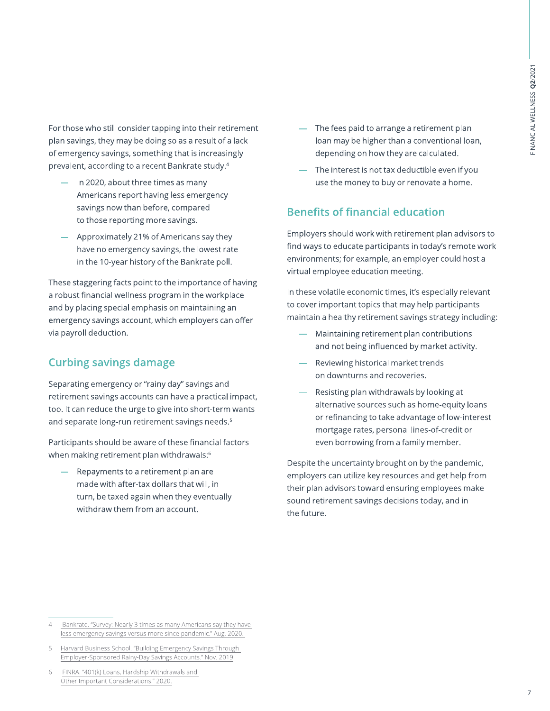For those who still consider tapping into their retirement plan savings, they may be doing so as a result of a lack of emergency savings, something that is increasingly prevalent, according to a recent Bankrate study.<sup>4</sup>

- $-$  In 2020, about three times as many Americans report having less emergency savings now than before, compared to those reporting more savings.
- Approximately 21% of Americans say they have no emergency savings, the lowest rate in the 10-year history of the Bankrate poll.

These staggering facts point to the importance of having a robust financial wellness program in the workplace and by placing special emphasis on maintaining an emergency savings account, which employers can offer via payroll deduction.

#### **Curbing savings damage**

Separating emergency or "rainy day" savings and retirement savings accounts can have a practical impact, too. It can reduce the urge to give into short-term wants and separate long-run retirement savings needs.<sup>5</sup>

Participants should be aware of these financial factors when making retirement plan withdrawals:6

Repayments to a retirement plan are made with after-tax dollars that will, in turn, be taxed again when they eventually withdraw them from an account.

- The fees paid to arrange a retirement plan loan may be higher than a conventional loan, depending on how they are calculated.
- The interest is not tax deductible even if you use the money to buy or renovate a home.

#### **Benefits of financial education**

Employers should work with retirement plan advisors to find ways to educate participants in today's remote work environments; for example, an employer could host a virtual employee education meeting.

In these volatile economic times, it's especially relevant to cover important topics that may help participants maintain a healthy retirement savings strategy including:

- Maintaining retirement plan contributions and not being influenced by market activity.
- Reviewing historical market trends on downturns and recoveries.
- Resisting plan withdrawals by looking at alternative sources such as home-equity loans or refinancing to take advantage of low-interest mortgage rates, personal lines-of-credit or even borrowing from a family member.

Despite the uncertainty brought on by the pandemic, employers can utilize key resources and get help from their plan advisors toward ensuring employees make sound retirement savings decisions today, and in the future.

FINRA. "401(k) Loans, Hardship Withdrawals and 6 Other Important Considerations." 2020.

Bankrate. "Survey: Nearly 3 times as many Americans say they have  $\overline{4}$ less emergency savings versus more since pandemic." Aug. 2020.

Harvard Business School. "Building Emergency Savings Through  $\overline{a}$ Employer-Sponsored Rainy-Day Savings Accounts." Nov. 2019